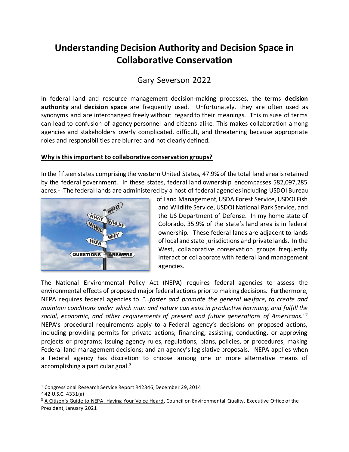# **Understanding Decision Authority and Decision Space in Collaborative Conservation**

# Gary Severson 2022

In federal land and resource management decision-making processes, the terms **decision authority** and **decision space** are frequently used. Unfortunately, they are often used as synonyms and are interchanged freely without regard to their meanings. This misuse of terms can lead to confusion of agency personnel and citizens alike. This makes collaboration among agencies and stakeholders overly complicated, difficult, and threatening because appropriate roles and responsibilities are blurred and not clearly defined.

#### **Why is this important to collaborative conservation groups?**

In the fifteen states comprising the western United States, 47.9% of the total land area is retained by the federal government. In these states, federal land ownership encompasses 582,097,285 acres.<sup>1</sup> The federal lands are administered by a host of federal agencies including USDOI Bureau



of Land Management, USDA Forest Service, USDOI Fish and Wildlife Service, USDOI National Park Service, and the US Department of Defense. In my home state of Colorado, 35.9% of the state's land area is in federal ownership. These federal lands are adjacent to lands of local and state jurisdictions and private lands. In the West, collaborative conservation groups frequently interact or collaborate with federal land management agencies.

The National Environmental Policy Act (NEPA) requires federal agencies to assess the environmental effects of proposed major federal actions prior to making decisions. Furthermore, NEPA requires federal agencies to *"…foster and promote the general welfare, to create and maintain conditions under which man and nature can exist in productive harmony, and fulfill the social, economic, and other requirements of present and future generations of Americans."*<sup>2</sup> NEPA's procedural requirements apply to a Federal agency's decisions on proposed actions, including providing permits for private actions; financing, assisting, conducting, or approving projects or programs; issuing agency rules, regulations, plans, policies, or procedures; making Federal land management decisions; and an agency's legislative proposals. NEPA applies when a Federal agency has discretion to choose among one or more alternative means of accomplishing a particular goal.<sup>3</sup>

<sup>1</sup> Congressional Research Service Report R42346, December 29, 2014

<sup>2</sup> 42 U.S.C. 4331(a)

<sup>&</sup>lt;sup>3</sup> A Citizen's Guide to NEPA, Having Your Voice Heard, Council on Environmental Quality, Executive Office of the President, January 2021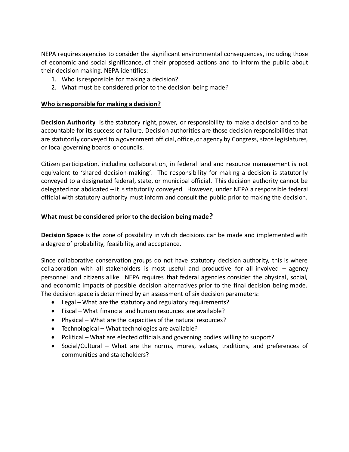NEPA requires agencies to consider the significant environmental consequences, including those of economic and social significance, of their proposed actions and to inform the public about their decision making. NEPA identifies:

- 1. Who is responsible for making a decision?
- 2. What must be considered prior to the decision being made?

### **Who is responsible for making a decision?**

**Decision Authority** is the statutory right, power, or responsibility to make a decision and to be accountable for its success or failure. Decision authorities are those decision responsibilities that are statutorily conveyed to a government official, office, or agency by Congress, state legislatures, or local governing boards or councils.

Citizen participation, including collaboration, in federal land and resource management is not equivalent to 'shared decision-making'. The responsibility for making a decision is statutorily conveyed to a designated federal, state, or municipal official. This decision authority cannot be delegated nor abdicated – it is statutorily conveyed. However, under NEPA a responsible federal official with statutory authority must inform and consult the public prior to making the decision.

#### **What must be considered prior to the decision being made?**

**Decision Space** is the zone of possibility in which decisions can be made and implemented with a degree of probability, feasibility, and acceptance.

Since collaborative conservation groups do not have statutory decision authority, this is where collaboration with all stakeholders is most useful and productive for all involved – agency personnel and citizens alike. NEPA requires that federal agencies consider the physical, social, and economic impacts of possible decision alternatives prior to the final decision being made. The decision space is determined by an assessment of six decision parameters:

- Legal What are the statutory and regulatory requirements?
- Fiscal What financial and human resources are available?
- Physical What are the capacities of the natural resources?
- Technological What technologies are available?
- Political What are elected officials and governing bodies willing to support?
- Social/Cultural What are the norms, mores, values, traditions, and preferences of communities and stakeholders?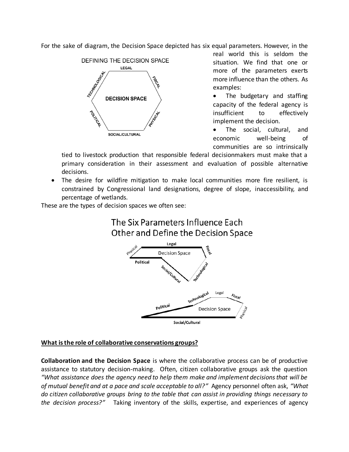For the sake of diagram, the Decision Space depicted has six equal parameters. However, in the



real world this is seldom the situation. We find that one or more of the parameters exerts more influence than the others. As examples:

The budgetary and staffing capacity of the federal agency is insufficient to effectively implement the decision.

The social, cultural, and economic well-being of communities are so intrinsically

tied to livestock production that responsible federal decisionmakers must make that a primary consideration in their assessment and evaluation of possible alternative decisions.

• The desire for wildfire mitigation to make local communities more fire resilient, is constrained by Congressional land designations, degree of slope, inaccessibility, and percentage of wetlands.

These are the types of decision spaces we often see:





## **What is the role of collaborative conservations groups?**

**Collaboration and the Decision Space** is where the collaborative process can be of productive assistance to statutory decision-making. Often, citizen collaborative groups ask the question *"What assistance does the agency need to help them make and implement decisions that will be of mutual benefit and at a pace and scale acceptable to all?"* Agency personnel often ask, *"What do citizen collaborative groups bring to the table that can assist in providing things necessary to the decision process?"* Taking inventory of the skills, expertise, and experiences of agency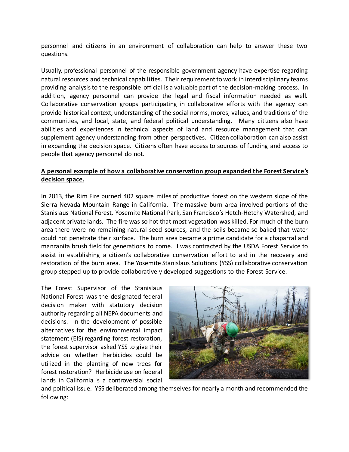personnel and citizens in an environment of collaboration can help to answer these two questions.

Usually, professional personnel of the responsible government agency have expertise regarding natural resources and technical capabilities. Their requirement to work in interdisciplinary teams providing analysis to the responsible official is a valuable part of the decision-making process. In addition, agency personnel can provide the legal and fiscal information needed as well. Collaborative conservation groups participating in collaborative efforts with the agency can provide historical context, understanding of the social norms, mores, values, and traditions of the communities, and local, state, and federal political understanding. Many citizens also have abilities and experiences in technical aspects of land and resource management that can supplement agency understanding from other perspectives. Citizen collaboration can also assist in expanding the decision space. Citizens often have access to sources of funding and access to people that agency personnel do not.

### **A personal example of how a collaborative conservation group expanded the Forest Service's decision space.**

In 2013, the Rim Fire burned 402 square miles of productive forest on the western slope of the Sierra Nevada Mountain Range in California. The massive burn area involved portions of the Stanislaus National Forest, Yosemite National Park, San Francisco's Hetch-Hetchy Watershed, and adjacent private lands. The fire was so hot that most vegetation was killed. For much of the burn area there were no remaining natural seed sources, and the soils became so baked that water could not penetrate their surface. The burn area became a prime candidate for a chaparral and manzanita brush field for generations to come. I was contracted by the USDA Forest Service to assist in establishing a citizen's collaborative conservation effort to aid in the recovery and restoration of the burn area. The Yosemite Stanislaus Solutions (YSS) collaborative conservation group stepped up to provide collaboratively developed suggestions to the Forest Service.

The Forest Supervisor of the Stanislaus National Forest was the designated federal decision maker with statutory decision authority regarding all NEPA documents and decisions. In the development of possible alternatives for the environmental impact statement (EIS) regarding forest restoration, the forest supervisor asked YSS to give their advice on whether herbicides could be utilized in the planting of new trees for forest restoration? Herbicide use on federal lands in California is a controversial social



and political issue. YSS deliberated among themselves for nearly a month and recommended the following: